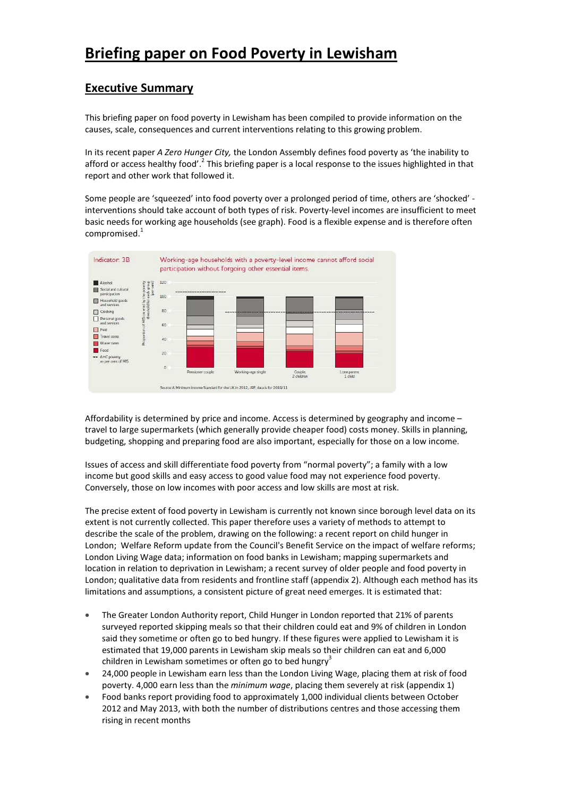# Briefing paper on Food Poverty in Lewisham

# Executive Summary

This briefing paper on food poverty in Lewisham has been compiled to provide information on the causes, scale, consequences and current interventions relating to this growing problem.

In its recent paper A Zero Hunger City, the London Assembly defines food poverty as 'the inability to afford or access healthy food'.<sup>2</sup> This briefing paper is a local response to the issues highlighted in that report and other work that followed it.

Some people are 'squeezed' into food poverty over a prolonged period of time, others are 'shocked' interventions should take account of both types of risk. Poverty-level incomes are insufficient to meet basic needs for working age households (see graph). Food is a flexible expense and is therefore often compromised.<sup>1</sup>



Affordability is determined by price and income. Access is determined by geography and income – travel to large supermarkets (which generally provide cheaper food) costs money. Skills in planning, budgeting, shopping and preparing food are also important, especially for those on a low income.

Issues of access and skill differentiate food poverty from "normal poverty"; a family with a low income but good skills and easy access to good value food may not experience food poverty. Conversely, those on low incomes with poor access and low skills are most at risk.

The precise extent of food poverty in Lewisham is currently not known since borough level data on its extent is not currently collected. This paper therefore uses a variety of methods to attempt to describe the scale of the problem, drawing on the following: a recent report on child hunger in London; Welfare Reform update from the Council's Benefit Service on the impact of welfare reforms; London Living Wage data; information on food banks in Lewisham; mapping supermarkets and location in relation to deprivation in Lewisham; a recent survey of older people and food poverty in London; qualitative data from residents and frontline staff (appendix 2). Although each method has its limitations and assumptions, a consistent picture of great need emerges. It is estimated that:

- The Greater London Authority report, Child Hunger in London reported that 21% of parents surveyed reported skipping meals so that their children could eat and 9% of children in London said they sometime or often go to bed hungry. If these figures were applied to Lewisham it is estimated that 19,000 parents in Lewisham skip meals so their children can eat and 6,000 children in Lewisham sometimes or often go to bed hungry<sup>3</sup>
- 24,000 people in Lewisham earn less than the London Living Wage, placing them at risk of food poverty. 4,000 earn less than the minimum wage, placing them severely at risk (appendix 1)
- Food banks report providing food to approximately 1,000 individual clients between October 2012 and May 2013, with both the number of distributions centres and those accessing them rising in recent months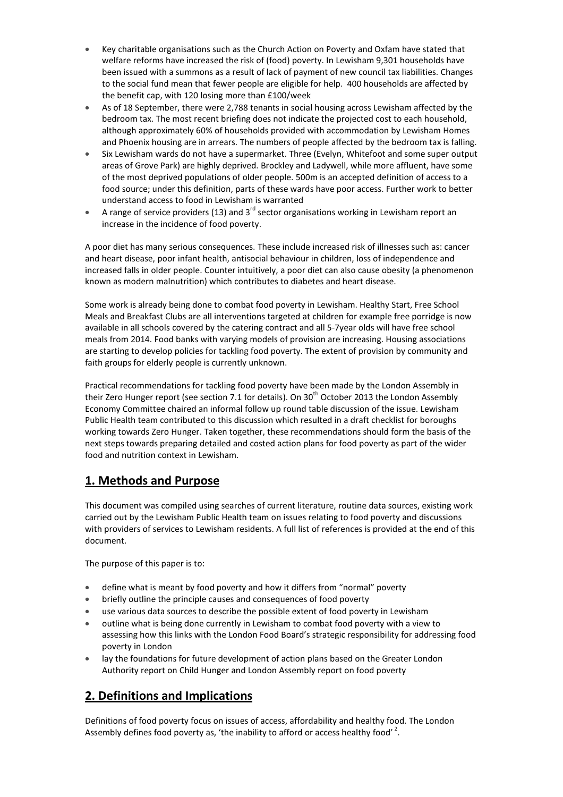- Key charitable organisations such as the Church Action on Poverty and Oxfam have stated that welfare reforms have increased the risk of (food) poverty. In Lewisham 9,301 households have been issued with a summons as a result of lack of payment of new council tax liabilities. Changes to the social fund mean that fewer people are eligible for help. 400 households are affected by the benefit cap, with 120 losing more than £100/week
- As of 18 September, there were 2,788 tenants in social housing across Lewisham affected by the bedroom tax. The most recent briefing does not indicate the projected cost to each household, although approximately 60% of households provided with accommodation by Lewisham Homes and Phoenix housing are in arrears. The numbers of people affected by the bedroom tax is falling.
- Six Lewisham wards do not have a supermarket. Three (Evelyn, Whitefoot and some super output areas of Grove Park) are highly deprived. Brockley and Ladywell, while more affluent, have some of the most deprived populations of older people. 500m is an accepted definition of access to a food source; under this definition, parts of these wards have poor access. Further work to better understand access to food in Lewisham is warranted
- A range of service providers (13) and  $3^{rd}$  sector organisations working in Lewisham report an increase in the incidence of food poverty.

A poor diet has many serious consequences. These include increased risk of illnesses such as: cancer and heart disease, poor infant health, antisocial behaviour in children, loss of independence and increased falls in older people. Counter intuitively, a poor diet can also cause obesity (a phenomenon known as modern malnutrition) which contributes to diabetes and heart disease.

Some work is already being done to combat food poverty in Lewisham. Healthy Start, Free School Meals and Breakfast Clubs are all interventions targeted at children for example free porridge is now available in all schools covered by the catering contract and all 5-7year olds will have free school meals from 2014. Food banks with varying models of provision are increasing. Housing associations are starting to develop policies for tackling food poverty. The extent of provision by community and faith groups for elderly people is currently unknown.

Practical recommendations for tackling food poverty have been made by the London Assembly in their Zero Hunger report (see section 7.1 for details). On 30<sup>th</sup> October 2013 the London Assembly Economy Committee chaired an informal follow up round table discussion of the issue. Lewisham Public Health team contributed to this discussion which resulted in a draft checklist for boroughs working towards Zero Hunger. Taken together, these recommendations should form the basis of the next steps towards preparing detailed and costed action plans for food poverty as part of the wider food and nutrition context in Lewisham.

# 1. Methods and Purpose

This document was compiled using searches of current literature, routine data sources, existing work carried out by the Lewisham Public Health team on issues relating to food poverty and discussions with providers of services to Lewisham residents. A full list of references is provided at the end of this document.

The purpose of this paper is to:

- define what is meant by food poverty and how it differs from "normal" poverty
- briefly outline the principle causes and consequences of food poverty
- use various data sources to describe the possible extent of food poverty in Lewisham
- outline what is being done currently in Lewisham to combat food poverty with a view to assessing how this links with the London Food Board's strategic responsibility for addressing food poverty in London
- lay the foundations for future development of action plans based on the Greater London Authority report on Child Hunger and London Assembly report on food poverty

# 2. Definitions and Implications

Definitions of food poverty focus on issues of access, affordability and healthy food. The London Assembly defines food poverty as, 'the inability to afford or access healthy food'<sup>2</sup>.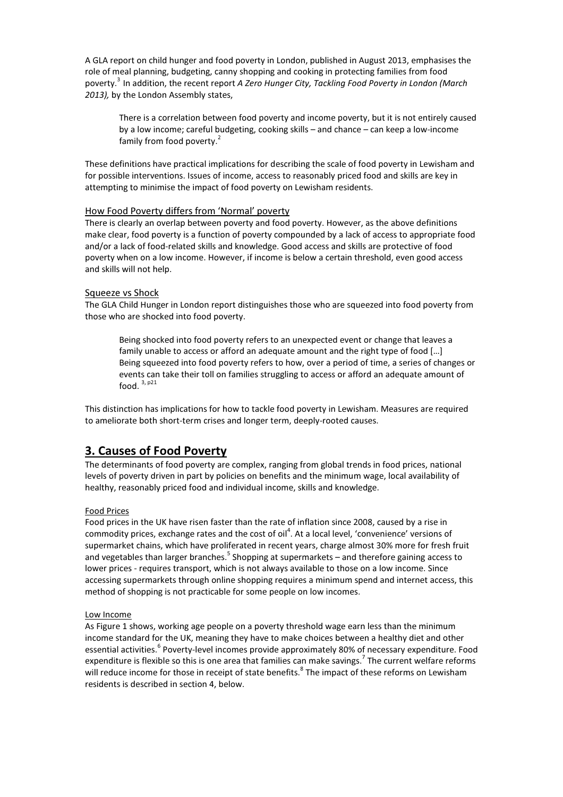A GLA report on child hunger and food poverty in London, published in August 2013, emphasises the role of meal planning, budgeting, canny shopping and cooking in protecting families from food poverty.<sup>3</sup> In addition, the recent report A Zero Hunger City, Tackling Food Poverty in London (March 2013), by the London Assembly states,

There is a correlation between food poverty and income poverty, but it is not entirely caused by a low income; careful budgeting, cooking skills – and chance – can keep a low-income family from food poverty.<sup>2</sup>

These definitions have practical implications for describing the scale of food poverty in Lewisham and for possible interventions. Issues of income, access to reasonably priced food and skills are key in attempting to minimise the impact of food poverty on Lewisham residents.

# How Food Poverty differs from 'Normal' poverty

There is clearly an overlap between poverty and food poverty. However, as the above definitions make clear, food poverty is a function of poverty compounded by a lack of access to appropriate food and/or a lack of food-related skills and knowledge. Good access and skills are protective of food poverty when on a low income. However, if income is below a certain threshold, even good access and skills will not help.

### Squeeze vs Shock

The GLA Child Hunger in London report distinguishes those who are squeezed into food poverty from those who are shocked into food poverty.

Being shocked into food poverty refers to an unexpected event or change that leaves a family unable to access or afford an adequate amount and the right type of food […] Being squeezed into food poverty refers to how, over a period of time, a series of changes or events can take their toll on families struggling to access or afford an adequate amount of food.  $3, p21$ 

This distinction has implications for how to tackle food poverty in Lewisham. Measures are required to ameliorate both short-term crises and longer term, deeply-rooted causes.

# 3. Causes of Food Poverty

The determinants of food poverty are complex, ranging from global trends in food prices, national levels of poverty driven in part by policies on benefits and the minimum wage, local availability of healthy, reasonably priced food and individual income, skills and knowledge.

### Food Prices

Food prices in the UK have risen faster than the rate of inflation since 2008, caused by a rise in commodity prices, exchange rates and the cost of oil<sup>4</sup>. At a local level, 'convenience' versions of supermarket chains, which have proliferated in recent years, charge almost 30% more for fresh fruit and vegetables than larger branches.<sup>5</sup> Shopping at supermarkets – and therefore gaining access to lower prices - requires transport, which is not always available to those on a low income. Since accessing supermarkets through online shopping requires a minimum spend and internet access, this method of shopping is not practicable for some people on low incomes.

### Low Income

As Figure 1 shows, working age people on a poverty threshold wage earn less than the minimum income standard for the UK, meaning they have to make choices between a healthy diet and other essential activities.<sup>6</sup> Poverty-level incomes provide approximately 80% of necessary expenditure. Food expenditure is flexible so this is one area that families can make savings.<sup>7</sup> The current welfare reforms will reduce income for those in receipt of state benefits.<sup>8</sup> The impact of these reforms on Lewisham residents is described in section 4, below.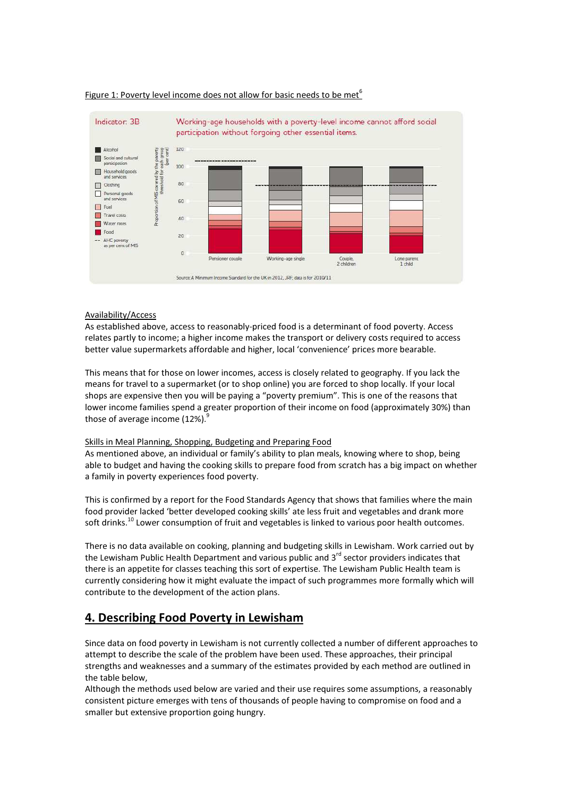

### Figure 1: Poverty level income does not allow for basic needs to be met<sup>6</sup>

#### Availability/Access

As established above, access to reasonably-priced food is a determinant of food poverty. Access relates partly to income; a higher income makes the transport or delivery costs required to access better value supermarkets affordable and higher, local 'convenience' prices more bearable.

This means that for those on lower incomes, access is closely related to geography. If you lack the means for travel to a supermarket (or to shop online) you are forced to shop locally. If your local shops are expensive then you will be paying a "poverty premium". This is one of the reasons that lower income families spend a greater proportion of their income on food (approximately 30%) than those of average income  $(12%)$ .

### Skills in Meal Planning, Shopping, Budgeting and Preparing Food

As mentioned above, an individual or family's ability to plan meals, knowing where to shop, being able to budget and having the cooking skills to prepare food from scratch has a big impact on whether a family in poverty experiences food poverty.

This is confirmed by a report for the Food Standards Agency that shows that families where the main food provider lacked 'better developed cooking skills' ate less fruit and vegetables and drank more soft drinks.<sup>10</sup> Lower consumption of fruit and vegetables is linked to various poor health outcomes.

There is no data available on cooking, planning and budgeting skills in Lewisham. Work carried out by the Lewisham Public Health Department and various public and 3<sup>rd</sup> sector providers indicates that there is an appetite for classes teaching this sort of expertise. The Lewisham Public Health team is currently considering how it might evaluate the impact of such programmes more formally which will contribute to the development of the action plans.

# 4. Describing Food Poverty in Lewisham

Since data on food poverty in Lewisham is not currently collected a number of different approaches to attempt to describe the scale of the problem have been used. These approaches, their principal strengths and weaknesses and a summary of the estimates provided by each method are outlined in the table below,

Although the methods used below are varied and their use requires some assumptions, a reasonably consistent picture emerges with tens of thousands of people having to compromise on food and a smaller but extensive proportion going hungry.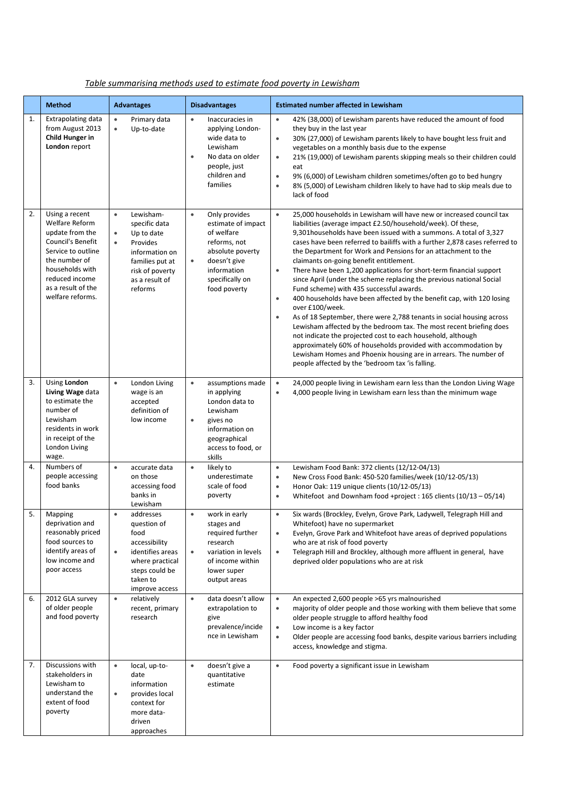|    | <b>Method</b>                                                                                                                                                                                         | <b>Advantages</b>                                                                                                                                                                | <b>Disadvantages</b>                                                                                                                                                              | <b>Estimated number affected in Lewisham</b>                                                                                                                                                                                                                                                                                                                                                                                                                                                                                                                                                                                                                                                                                                                                                                                                                                                                                                                                                                                                                                                                                                              |  |  |  |  |  |  |
|----|-------------------------------------------------------------------------------------------------------------------------------------------------------------------------------------------------------|----------------------------------------------------------------------------------------------------------------------------------------------------------------------------------|-----------------------------------------------------------------------------------------------------------------------------------------------------------------------------------|-----------------------------------------------------------------------------------------------------------------------------------------------------------------------------------------------------------------------------------------------------------------------------------------------------------------------------------------------------------------------------------------------------------------------------------------------------------------------------------------------------------------------------------------------------------------------------------------------------------------------------------------------------------------------------------------------------------------------------------------------------------------------------------------------------------------------------------------------------------------------------------------------------------------------------------------------------------------------------------------------------------------------------------------------------------------------------------------------------------------------------------------------------------|--|--|--|--|--|--|
| 1. | <b>Extrapolating data</b><br>from August 2013<br>Child Hunger in<br>London report                                                                                                                     | Primary data<br>$\bullet$<br>$\bullet$<br>Up-to-date                                                                                                                             | Inaccuracies in<br>$\bullet$<br>applying London-<br>wide data to<br>Lewisham<br>No data on older<br>$\bullet$<br>people, just<br>children and<br>families                         | 42% (38,000) of Lewisham parents have reduced the amount of food<br>$\bullet$<br>they buy in the last year<br>30% (27,000) of Lewisham parents likely to have bought less fruit and<br>$\bullet$<br>vegetables on a monthly basis due to the expense<br>21% (19,000) of Lewisham parents skipping meals so their children could<br>$\bullet$<br>eat<br>9% (6,000) of Lewisham children sometimes/often go to bed hungry<br>$\bullet$<br>$\bullet$<br>8% (5,000) of Lewisham children likely to have had to skip meals due to<br>lack of food                                                                                                                                                                                                                                                                                                                                                                                                                                                                                                                                                                                                              |  |  |  |  |  |  |
| 2. | Using a recent<br>Welfare Reform<br>update from the<br><b>Council's Benefit</b><br>Service to outline<br>the number of<br>households with<br>reduced income<br>as a result of the<br>welfare reforms. | Lewisham-<br>$\bullet$<br>specific data<br>Up to date<br>$\bullet$<br>Provides<br>$\bullet$<br>information on<br>families put at<br>risk of poverty<br>as a result of<br>reforms | Only provides<br>$\bullet$<br>estimate of impact<br>of welfare<br>reforms, not<br>absolute poverty<br>doesn't give<br>$\bullet$<br>information<br>specifically on<br>food poverty | 25,000 households in Lewisham will have new or increased council tax<br>$\bullet$<br>liabilities (average impact £2.50/household/week). Of these,<br>9,301 households have been issued with a summons. A total of 3,327<br>cases have been referred to bailiffs with a further 2,878 cases referred to<br>the Department for Work and Pensions for an attachment to the<br>claimants on-going benefit entitlement.<br>$\bullet$<br>There have been 1,200 applications for short-term financial support<br>since April (under the scheme replacing the previous national Social<br>Fund scheme) with 435 successful awards.<br>400 households have been affected by the benefit cap, with 120 losing<br>$\bullet$<br>over £100/week.<br>As of 18 September, there were 2,788 tenants in social housing across<br>$\bullet$<br>Lewisham affected by the bedroom tax. The most recent briefing does<br>not indicate the projected cost to each household, although<br>approximately 60% of households provided with accommodation by<br>Lewisham Homes and Phoenix housing are in arrears. The number of<br>people affected by the 'bedroom tax 'is falling. |  |  |  |  |  |  |
| 3. | Using London<br>Living Wage data<br>to estimate the<br>number of<br>Lewisham<br>residents in work<br>in receipt of the<br>London Living<br>wage.                                                      | $\bullet$<br>London Living<br>wage is an<br>accepted<br>definition of<br>low income                                                                                              | $\bullet$<br>assumptions made<br>in applying<br>London data to<br>Lewisham<br>gives no<br>$\bullet$<br>information on<br>geographical<br>access to food, or<br>skills             | 24,000 people living in Lewisham earn less than the London Living Wage<br>$\bullet$<br>4,000 people living in Lewisham earn less than the minimum wage<br>$\bullet$                                                                                                                                                                                                                                                                                                                                                                                                                                                                                                                                                                                                                                                                                                                                                                                                                                                                                                                                                                                       |  |  |  |  |  |  |
| 4. | Numbers of<br>people accessing<br>food banks                                                                                                                                                          | $\bullet$<br>accurate data<br>on those<br>accessing food<br>banks in<br>Lewisham                                                                                                 | $\bullet$<br>likely to<br>underestimate<br>scale of food<br>poverty                                                                                                               | Lewisham Food Bank: 372 clients (12/12-04/13)<br>$\bullet$<br>New Cross Food Bank: 450-520 families/week (10/12-05/13)<br>$\bullet$<br>$\bullet$<br>Honor Oak: 119 unique clients (10/12-05/13)<br>Whitefoot and Downham food +project: 165 clients (10/13 - 05/14)<br>$\bullet$                                                                                                                                                                                                                                                                                                                                                                                                                                                                                                                                                                                                                                                                                                                                                                                                                                                                          |  |  |  |  |  |  |
| 5. | Mapping<br>deprivation and<br>reasonably priced<br>food sources to<br>identify areas of<br>low income and<br>poor access                                                                              | addresses<br>$\bullet$<br>question of<br>food<br>accessibility<br>identifies areas<br>where practical<br>steps could be<br>taken to<br>improve access                            | work in early<br>$\bullet$<br>stages and<br>required further<br>research<br>variation in levels<br>$\bullet$<br>of income within<br>lower super<br>output areas                   | Six wards (Brockley, Evelyn, Grove Park, Ladywell, Telegraph Hill and<br>$\bullet$<br>Whitefoot) have no supermarket<br>$\bullet$<br>Evelyn, Grove Park and Whitefoot have areas of deprived populations<br>who are at risk of food poverty<br>Telegraph Hill and Brockley, although more affluent in general, have<br>$\bullet$<br>deprived older populations who are at risk                                                                                                                                                                                                                                                                                                                                                                                                                                                                                                                                                                                                                                                                                                                                                                            |  |  |  |  |  |  |
| 6. | 2012 GLA survey<br>of older people<br>and food poverty                                                                                                                                                | relatively<br>$\bullet$<br>recent, primary<br>research                                                                                                                           | data doesn't allow<br>$\bullet$<br>extrapolation to<br>give<br>prevalence/incide<br>nce in Lewisham                                                                               | An expected 2,600 people >65 yrs malnourished<br>$\bullet$<br>majority of older people and those working with them believe that some<br>$\bullet$<br>older people struggle to afford healthy food<br>Low income is a key factor<br>$\bullet$<br>Older people are accessing food banks, despite various barriers including<br>$\bullet$<br>access, knowledge and stigma.                                                                                                                                                                                                                                                                                                                                                                                                                                                                                                                                                                                                                                                                                                                                                                                   |  |  |  |  |  |  |
| 7. | Discussions with<br>stakeholders in<br>Lewisham to<br>understand the<br>extent of food<br>poverty                                                                                                     | local, up-to-<br>$\bullet$<br>date<br>information<br>provides local<br>context for<br>more data-<br>driven<br>approaches                                                         | doesn't give a<br>$\bullet$<br>quantitative<br>estimate                                                                                                                           | Food poverty a significant issue in Lewisham<br>$\bullet$                                                                                                                                                                                                                                                                                                                                                                                                                                                                                                                                                                                                                                                                                                                                                                                                                                                                                                                                                                                                                                                                                                 |  |  |  |  |  |  |

# Table summarising methods used to estimate food poverty in Lewisham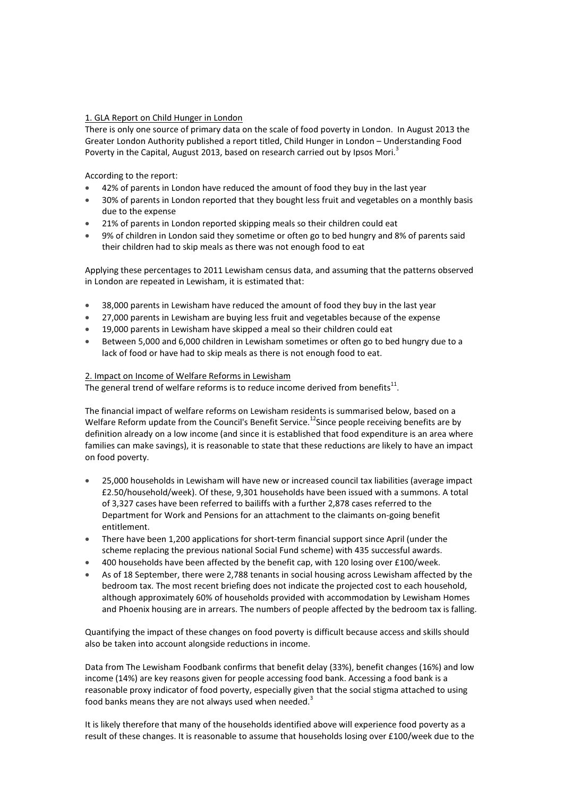### 1. GLA Report on Child Hunger in London

There is only one source of primary data on the scale of food poverty in London. In August 2013 the Greater London Authority published a report titled, Child Hunger in London – Understanding Food Poverty in the Capital, August 2013, based on research carried out by Ipsos Mori.<sup>3</sup>

According to the report:

- 42% of parents in London have reduced the amount of food they buy in the last year
- 30% of parents in London reported that they bought less fruit and vegetables on a monthly basis due to the expense
- 21% of parents in London reported skipping meals so their children could eat
- 9% of children in London said they sometime or often go to bed hungry and 8% of parents said their children had to skip meals as there was not enough food to eat

Applying these percentages to 2011 Lewisham census data, and assuming that the patterns observed in London are repeated in Lewisham, it is estimated that:

- 38,000 parents in Lewisham have reduced the amount of food they buy in the last year
- 27,000 parents in Lewisham are buying less fruit and vegetables because of the expense
- 19,000 parents in Lewisham have skipped a meal so their children could eat
- Between 5,000 and 6,000 children in Lewisham sometimes or often go to bed hungry due to a lack of food or have had to skip meals as there is not enough food to eat.

### 2. Impact on Income of Welfare Reforms in Lewisham

The general trend of welfare reforms is to reduce income derived from benefits $^{11}$ .

The financial impact of welfare reforms on Lewisham residents is summarised below, based on a Welfare Reform update from the Council's Benefit Service.<sup>12</sup>Since people receiving benefits are by definition already on a low income (and since it is established that food expenditure is an area where families can make savings), it is reasonable to state that these reductions are likely to have an impact on food poverty.

- 25,000 households in Lewisham will have new or increased council tax liabilities (average impact £2.50/household/week). Of these, 9,301 households have been issued with a summons. A total of 3,327 cases have been referred to bailiffs with a further 2,878 cases referred to the Department for Work and Pensions for an attachment to the claimants on-going benefit entitlement.
- There have been 1,200 applications for short-term financial support since April (under the scheme replacing the previous national Social Fund scheme) with 435 successful awards.
- 400 households have been affected by the benefit cap, with 120 losing over £100/week.
- As of 18 September, there were 2,788 tenants in social housing across Lewisham affected by the bedroom tax. The most recent briefing does not indicate the projected cost to each household, although approximately 60% of households provided with accommodation by Lewisham Homes and Phoenix housing are in arrears. The numbers of people affected by the bedroom tax is falling.

Quantifying the impact of these changes on food poverty is difficult because access and skills should also be taken into account alongside reductions in income.

Data from The Lewisham Foodbank confirms that benefit delay (33%), benefit changes (16%) and low income (14%) are key reasons given for people accessing food bank. Accessing a food bank is a reasonable proxy indicator of food poverty, especially given that the social stigma attached to using food banks means they are not always used when needed. $3$ 

It is likely therefore that many of the households identified above will experience food poverty as a result of these changes. It is reasonable to assume that households losing over £100/week due to the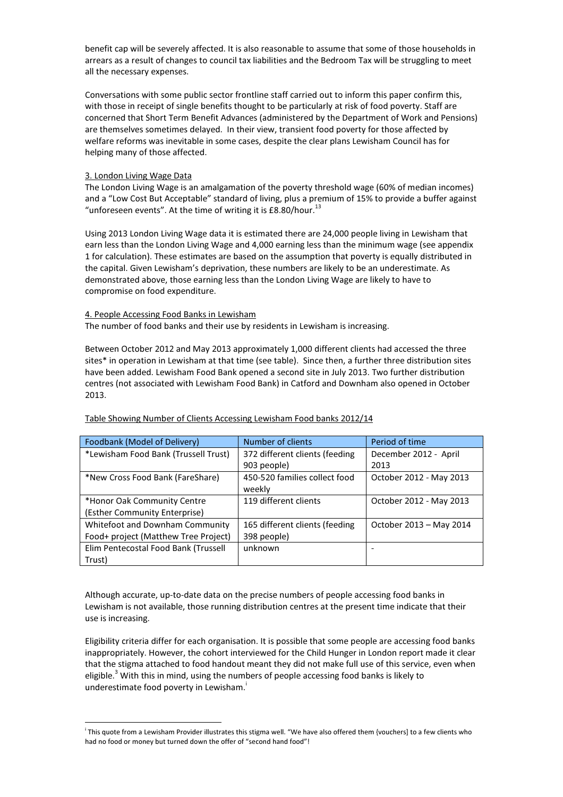benefit cap will be severely affected. It is also reasonable to assume that some of those households in arrears as a result of changes to council tax liabilities and the Bedroom Tax will be struggling to meet all the necessary expenses.

Conversations with some public sector frontline staff carried out to inform this paper confirm this, with those in receipt of single benefits thought to be particularly at risk of food poverty. Staff are concerned that Short Term Benefit Advances (administered by the Department of Work and Pensions) are themselves sometimes delayed. In their view, transient food poverty for those affected by welfare reforms was inevitable in some cases, despite the clear plans Lewisham Council has for helping many of those affected.

### 3. London Living Wage Data

l

The London Living Wage is an amalgamation of the poverty threshold wage (60% of median incomes) and a "Low Cost But Acceptable" standard of living, plus a premium of 15% to provide a buffer against "unforeseen events". At the time of writing it is £8.80/hour.<sup>13</sup>

Using 2013 London Living Wage data it is estimated there are 24,000 people living in Lewisham that earn less than the London Living Wage and 4,000 earning less than the minimum wage (see appendix 1 for calculation). These estimates are based on the assumption that poverty is equally distributed in the capital. Given Lewisham's deprivation, these numbers are likely to be an underestimate. As demonstrated above, those earning less than the London Living Wage are likely to have to compromise on food expenditure.

### 4. People Accessing Food Banks in Lewisham

The number of food banks and their use by residents in Lewisham is increasing.

Between October 2012 and May 2013 approximately 1,000 different clients had accessed the three sites\* in operation in Lewisham at that time (see table). Since then, a further three distribution sites have been added. Lewisham Food Bank opened a second site in July 2013. Two further distribution centres (not associated with Lewisham Food Bank) in Catford and Downham also opened in October 2013.

| Foodbank (Model of Delivery)           | Number of clients              | Period of time          |
|----------------------------------------|--------------------------------|-------------------------|
| *Lewisham Food Bank (Trussell Trust)   | 372 different clients (feeding | December 2012 - April   |
|                                        | 903 people)                    | 2013                    |
| *New Cross Food Bank (FareShare)       | 450-520 families collect food  | October 2012 - May 2013 |
|                                        | weekly                         |                         |
| *Honor Oak Community Centre            | 119 different clients          | October 2012 - May 2013 |
| (Esther Community Enterprise)          |                                |                         |
| <b>Whitefoot and Downham Community</b> | 165 different clients (feeding | October 2013 - May 2014 |
| Food+ project (Matthew Tree Project)   | 398 people)                    |                         |
| Elim Pentecostal Food Bank (Trussell   | unknown                        |                         |
| Trust)                                 |                                |                         |

#### Table Showing Number of Clients Accessing Lewisham Food banks 2012/14

Although accurate, up-to-date data on the precise numbers of people accessing food banks in Lewisham is not available, those running distribution centres at the present time indicate that their use is increasing.

Eligibility criteria differ for each organisation. It is possible that some people are accessing food banks inappropriately. However, the cohort interviewed for the Child Hunger in London report made it clear that the stigma attached to food handout meant they did not make full use of this service, even when eligible.<sup>3</sup> With this in mind, using the numbers of people accessing food banks is likely to underestimate food poverty in Lewisham.

i This quote from a Lewisham Provider illustrates this stigma well. "We have also offered them {vouchers] to a few clients who had no food or money but turned down the offer of "second hand food"!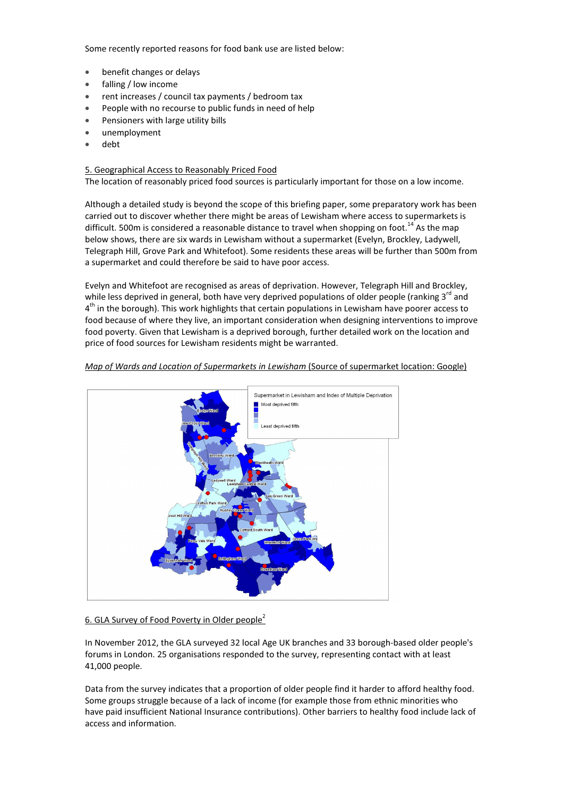Some recently reported reasons for food bank use are listed below:

- benefit changes or delays
- falling / low income
- rent increases / council tax payments / bedroom tax
- People with no recourse to public funds in need of help
- Pensioners with large utility bills
- unemployment
- debt

### 5. Geographical Access to Reasonably Priced Food

The location of reasonably priced food sources is particularly important for those on a low income.

Although a detailed study is beyond the scope of this briefing paper, some preparatory work has been carried out to discover whether there might be areas of Lewisham where access to supermarkets is difficult. 500m is considered a reasonable distance to travel when shopping on foot.<sup>14</sup> As the map below shows, there are six wards in Lewisham without a supermarket (Evelyn, Brockley, Ladywell, Telegraph Hill, Grove Park and Whitefoot). Some residents these areas will be further than 500m from a supermarket and could therefore be said to have poor access.

Evelyn and Whitefoot are recognised as areas of deprivation. However, Telegraph Hill and Brockley, while less deprived in general, both have very deprived populations of older people (ranking  $3^{rd}$  and 4<sup>th</sup> in the borough). This work highlights that certain populations in Lewisham have poorer access to food because of where they live, an important consideration when designing interventions to improve food poverty. Given that Lewisham is a deprived borough, further detailed work on the location and price of food sources for Lewisham residents might be warranted.





#### 6. GLA Survey of Food Poverty in Older people<sup>2</sup>

In November 2012, the GLA surveyed 32 local Age UK branches and 33 borough-based older people's forums in London. 25 organisations responded to the survey, representing contact with at least 41,000 people.

Data from the survey indicates that a proportion of older people find it harder to afford healthy food. Some groups struggle because of a lack of income (for example those from ethnic minorities who have paid insufficient National Insurance contributions). Other barriers to healthy food include lack of access and information.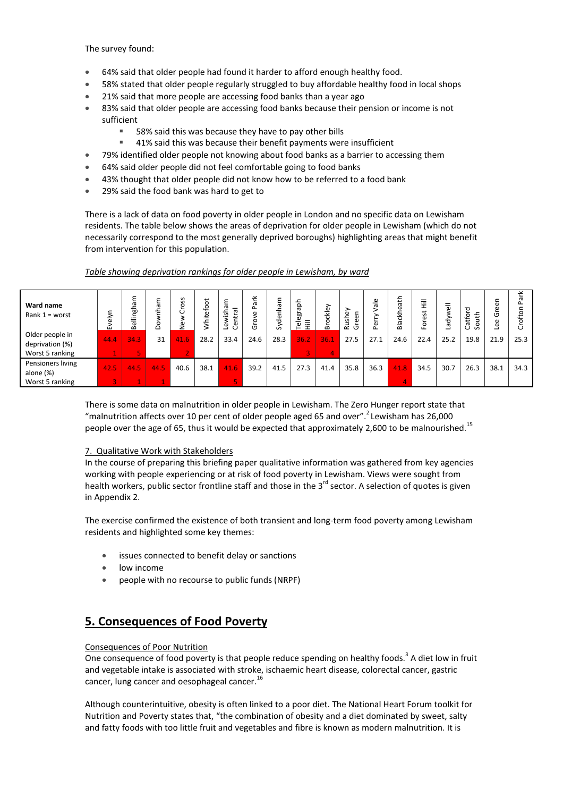The survey found:

- 64% said that older people had found it harder to afford enough healthy food.
- 58% stated that older people regularly struggled to buy affordable healthy food in local shops
- 21% said that more people are accessing food banks than a year ago
- 83% said that older people are accessing food banks because their pension or income is not sufficient
	- 58% said this was because they have to pay other bills
	- 41% said this was because their benefit payments were insufficient
- 79% identified older people not knowing about food banks as a barrier to accessing them
- 64% said older people did not feel comfortable going to food banks
- 43% thought that older people did not know how to be referred to a food bank
- 29% said the food bank was hard to get to

There is a lack of data on food poverty in older people in London and no specific data on Lewisham residents. The table below shows the areas of deprivation for older people in Lewisham (which do not necessarily correspond to the most generally deprived boroughs) highlighting areas that might benefit from intervention for this population.

| Ward name<br>Rank $1 =$ worst                         | ய    | mgham<br>≘<br>යි | ≿<br>횬<br>۰<br>ó | S<br>$\mathbf{v}$<br>$\circ$<br>٥ | ى<br>ō<br>မို့<br>호 | ε<br>$\bar{\sigma}$<br>-<br>σ<br>ᅩ<br>ی.<br>≒<br>ະ<br>ප<br>Φ | ≚<br>ㅎ<br>Δ.<br>g<br>ö<br>σ | enhai<br>Š | hạ<br>Teleg<br>-<br>._<br>╤ | ockley<br>മ | she <sup>®</sup><br>$\epsilon$<br>æ<br>ä<br>উ | Φ<br>-<br>π<br>$\omega$ | ⇇<br>'n۵<br>Φ<br>준<br>å | ≣<br>ぉ<br>ω<br>요 | -<br>ᇹ<br>Lady | ᅙ<br>$\frac{1}{2}$<br>Catfo<br>င္တ | c<br>ω<br>ত<br>æ | σ    |
|-------------------------------------------------------|------|------------------|------------------|-----------------------------------|---------------------|--------------------------------------------------------------|-----------------------------|------------|-----------------------------|-------------|-----------------------------------------------|-------------------------|-------------------------|------------------|----------------|------------------------------------|------------------|------|
| Older people in<br>deprivation (%)<br>Worst 5 ranking | 44.4 | 34.3             | 31               | 41.6                              | 28.2                | 33.4                                                         | 24.6                        | 28.3       | 36.2                        | 36.1        | 27.5                                          | 27.1                    | 24.6                    | 22.4             | 25.2           | 19.8                               | 21.9             | 25.3 |
| Pensioners living<br>alone (%)<br>Worst 5 ranking     | 42.5 | 44.5             | 44.5             | 40.6                              | 38.1                | 41.6                                                         | 39.2                        | 41.5       | 27.3                        | 41.4        | 35.8                                          | 36.3                    | 41.8                    | 34.5             | 30.7           | 26.3                               | 38.1             | 34.3 |

### Table showing deprivation rankings for older people in Lewisham, by ward

There is some data on malnutrition in older people in Lewisham. The Zero Hunger report state that "malnutrition affects over 10 per cent of older people aged 65 and over". Lewisham has 26,000 people over the age of 65, thus it would be expected that approximately 2,600 to be malnourished.<sup>15</sup>

### 7. Qualitative Work with Stakeholders

In the course of preparing this briefing paper qualitative information was gathered from key agencies working with people experiencing or at risk of food poverty in Lewisham. Views were sought from health workers, public sector frontline staff and those in the  $3<sup>rd</sup>$  sector. A selection of quotes is given in Appendix 2.

The exercise confirmed the existence of both transient and long-term food poverty among Lewisham residents and highlighted some key themes:

- issues connected to benefit delay or sanctions
- low income
- people with no recourse to public funds (NRPF)

# 5. Consequences of Food Poverty

### Consequences of Poor Nutrition

One consequence of food poverty is that people reduce spending on healthy foods.<sup>3</sup> A diet low in fruit and vegetable intake is associated with stroke, ischaemic heart disease, colorectal cancer, gastric cancer, lung cancer and oesophageal cancer.<sup>16</sup>

Although counterintuitive, obesity is often linked to a poor diet. The National Heart Forum toolkit for Nutrition and Poverty states that, "the combination of obesity and a diet dominated by sweet, salty and fatty foods with too little fruit and vegetables and fibre is known as modern malnutrition. It is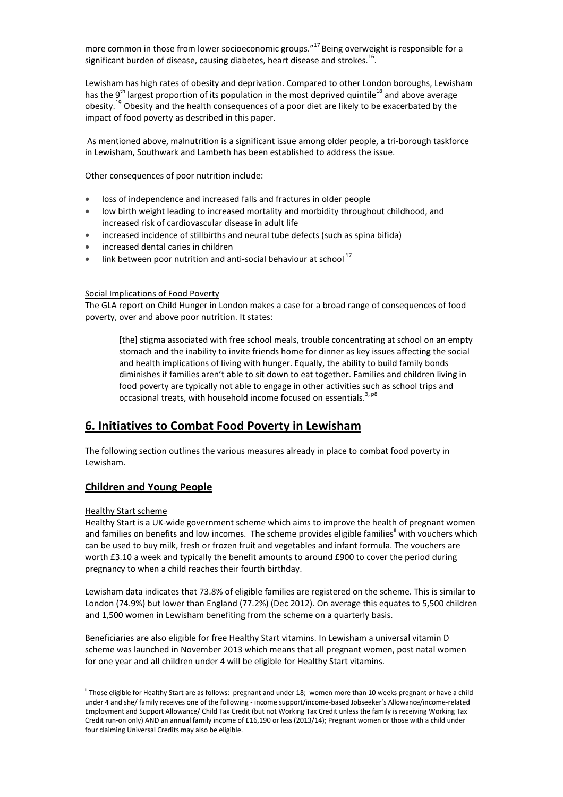more common in those from lower socioeconomic groups." $^{17}$  Being overweight is responsible for a significant burden of disease, causing diabetes, heart disease and strokes.<sup>16</sup>.

Lewisham has high rates of obesity and deprivation. Compared to other London boroughs, Lewisham has the 9<sup>th</sup> largest proportion of its population in the most deprived quintile<sup>18</sup> and above average obesity.<sup>19</sup> Obesity and the health consequences of a poor diet are likely to be exacerbated by the impact of food poverty as described in this paper.

 As mentioned above, malnutrition is a significant issue among older people, a tri-borough taskforce in Lewisham, Southwark and Lambeth has been established to address the issue.

Other consequences of poor nutrition include:

- loss of independence and increased falls and fractures in older people
- low birth weight leading to increased mortality and morbidity throughout childhood, and increased risk of cardiovascular disease in adult life
- increased incidence of stillbirths and neural tube defects (such as spina bifida)
- increased dental caries in children
- $\bullet$  link between poor nutrition and anti-social behaviour at school<sup>17</sup>

#### Social Implications of Food Poverty

The GLA report on Child Hunger in London makes a case for a broad range of consequences of food poverty, over and above poor nutrition. It states:

[the] stigma associated with free school meals, trouble concentrating at school on an empty stomach and the inability to invite friends home for dinner as key issues affecting the social and health implications of living with hunger. Equally, the ability to build family bonds diminishes if families aren't able to sit down to eat together. Families and children living in food poverty are typically not able to engage in other activities such as school trips and occasional treats, with household income focused on essentials.<sup>3, p8</sup>

# 6. Initiatives to Combat Food Poverty in Lewisham

The following section outlines the various measures already in place to combat food poverty in Lewisham.

## Children and Young People

#### Healthy Start scheme

l

Healthy Start is a UK-wide government scheme which aims to improve the health of pregnant women and families on benefits and low incomes. The scheme provides eligible families<sup>"</sup> with vouchers which can be used to buy milk, fresh or frozen fruit and vegetables and infant formula. The vouchers are worth £3.10 a week and typically the benefit amounts to around £900 to cover the period during pregnancy to when a child reaches their fourth birthday.

Lewisham data indicates that 73.8% of eligible families are registered on the scheme. This is similar to London (74.9%) but lower than England (77.2%) (Dec 2012). On average this equates to 5,500 children and 1,500 women in Lewisham benefiting from the scheme on a quarterly basis.

Beneficiaries are also eligible for free Healthy Start vitamins. In Lewisham a universal vitamin D scheme was launched in November 2013 which means that all pregnant women, post natal women for one year and all children under 4 will be eligible for Healthy Start vitamins.

<sup>&</sup>lt;sup>ii</sup> Those eligible for Healthy Start are as follows: pregnant and under 18; women more than 10 weeks pregnant or have a child under 4 and she/ family receives one of the following - income support/income-based Jobseeker's Allowance/income-related Employment and Support Allowance/ Child Tax Credit (but not Working Tax Credit unless the family is receiving Working Tax Credit run-on only) AND an annual family income of £16,190 or less (2013/14); Pregnant women or those with a child under four claiming Universal Credits may also be eligible.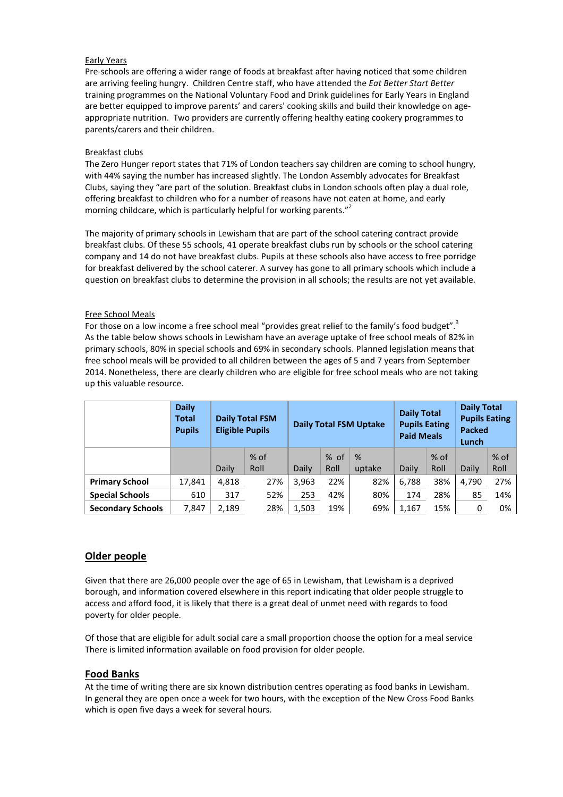### Early Years

Pre-schools are offering a wider range of foods at breakfast after having noticed that some children are arriving feeling hungry. Children Centre staff, who have attended the Eat Better Start Better training programmes on the National Voluntary Food and Drink guidelines for Early Years in England are better equipped to improve parents' and carers' cooking skills and build their knowledge on ageappropriate nutrition. Two providers are currently offering healthy eating cookery programmes to parents/carers and their children.

### Breakfast clubs

The Zero Hunger report states that 71% of London teachers say children are coming to school hungry, with 44% saying the number has increased slightly. The London Assembly advocates for Breakfast Clubs, saying they "are part of the solution. Breakfast clubs in London schools often play a dual role, offering breakfast to children who for a number of reasons have not eaten at home, and early morning childcare, which is particularly helpful for working parents."

The majority of primary schools in Lewisham that are part of the school catering contract provide breakfast clubs. Of these 55 schools, 41 operate breakfast clubs run by schools or the school catering company and 14 do not have breakfast clubs. Pupils at these schools also have access to free porridge for breakfast delivered by the school caterer. A survey has gone to all primary schools which include a question on breakfast clubs to determine the provision in all schools; the results are not yet available.

### Free School Meals

For those on a low income a free school meal "provides great relief to the family's food budget".<sup>3</sup> As the table below shows schools in Lewisham have an average uptake of free school meals of 82% in primary schools, 80% in special schools and 69% in secondary schools. Planned legislation means that free school meals will be provided to all children between the ages of 5 and 7 years from September 2014. Nonetheless, there are clearly children who are eligible for free school meals who are not taking up this valuable resource.

|                          | <b>Daily</b><br><b>Total</b><br><b>Pupils</b> | <b>Eligible Pupils</b> | <b>Daily Total FSM</b> |       |                | <b>Daily Total FSM Uptake</b> | <b>Daily Total</b><br><b>Pupils Eating</b><br><b>Paid Meals</b> |                | <b>Daily Total</b><br><b>Pupils Eating</b><br><b>Packed</b><br>Lunch |                |  |
|--------------------------|-----------------------------------------------|------------------------|------------------------|-------|----------------|-------------------------------|-----------------------------------------------------------------|----------------|----------------------------------------------------------------------|----------------|--|
|                          |                                               | Daily                  | $%$ of<br>Roll         | Daily | $%$ of<br>Roll | %<br>uptake                   | Daily                                                           | $%$ of<br>Roll | Daily                                                                | $%$ of<br>Roll |  |
| <b>Primary School</b>    | 17,841                                        | 4,818                  | 27%                    | 3,963 | 22%            | 82%                           | 6,788                                                           | 38%            | 4,790                                                                | 27%            |  |
| <b>Special Schools</b>   | 610                                           | 317                    | 52%                    | 253   | 42%            | 80%                           | 174                                                             | 28%            | 85                                                                   | 14%            |  |
| <b>Secondary Schools</b> | 7,847                                         | 2,189                  | 28%                    | 1,503 | 19%            | 69%                           | 1,167                                                           | 15%            | 0                                                                    | 0%             |  |

### Older people

Given that there are 26,000 people over the age of 65 in Lewisham, that Lewisham is a deprived borough, and information covered elsewhere in this report indicating that older people struggle to access and afford food, it is likely that there is a great deal of unmet need with regards to food poverty for older people.

Of those that are eligible for adult social care a small proportion choose the option for a meal service There is limited information available on food provision for older people.

### Food Banks

At the time of writing there are six known distribution centres operating as food banks in Lewisham. In general they are open once a week for two hours, with the exception of the New Cross Food Banks which is open five days a week for several hours.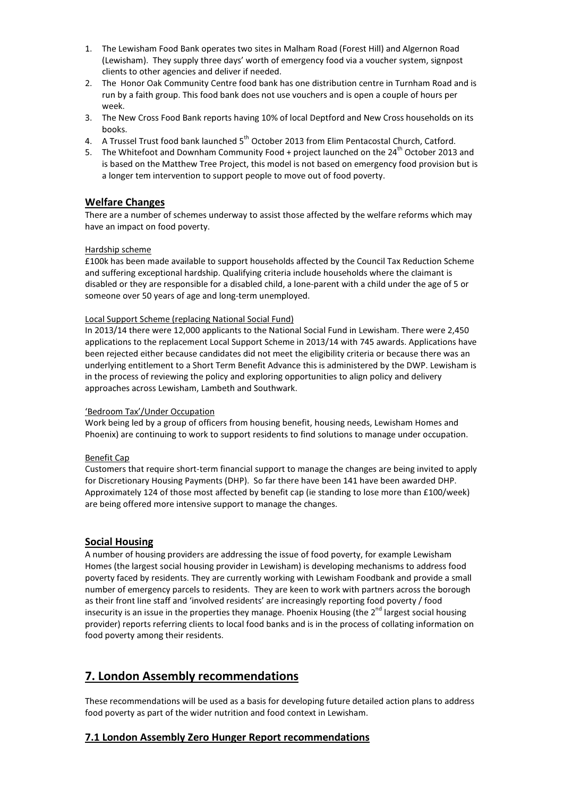- 1. The Lewisham Food Bank operates two sites in Malham Road (Forest Hill) and Algernon Road (Lewisham). They supply three days' worth of emergency food via a voucher system, signpost clients to other agencies and deliver if needed.
- 2. The Honor Oak Community Centre food bank has one distribution centre in Turnham Road and is run by a faith group. This food bank does not use vouchers and is open a couple of hours per week.
- 3. The New Cross Food Bank reports having 10% of local Deptford and New Cross households on its books.
- 4. A Trussel Trust food bank launched 5<sup>th</sup> October 2013 from Elim Pentacostal Church, Catford.
- 5. The Whitefoot and Downham Community Food + project launched on the  $24<sup>th</sup>$  October 2013 and is based on the Matthew Tree Project, this model is not based on emergency food provision but is a longer tem intervention to support people to move out of food poverty.

# Welfare Changes

There are a number of schemes underway to assist those affected by the welfare reforms which may have an impact on food poverty.

### Hardship scheme

£100k has been made available to support households affected by the Council Tax Reduction Scheme and suffering exceptional hardship. Qualifying criteria include households where the claimant is disabled or they are responsible for a disabled child, a lone-parent with a child under the age of 5 or someone over 50 years of age and long-term unemployed.

### Local Support Scheme (replacing National Social Fund)

In 2013/14 there were 12,000 applicants to the National Social Fund in Lewisham. There were 2,450 applications to the replacement Local Support Scheme in 2013/14 with 745 awards. Applications have been rejected either because candidates did not meet the eligibility criteria or because there was an underlying entitlement to a Short Term Benefit Advance this is administered by the DWP. Lewisham is in the process of reviewing the policy and exploring opportunities to align policy and delivery approaches across Lewisham, Lambeth and Southwark.

#### 'Bedroom Tax'/Under Occupation

Work being led by a group of officers from housing benefit, housing needs, Lewisham Homes and Phoenix) are continuing to work to support residents to find solutions to manage under occupation.

#### Benefit Cap

Customers that require short-term financial support to manage the changes are being invited to apply for Discretionary Housing Payments (DHP). So far there have been 141 have been awarded DHP. Approximately 124 of those most affected by benefit cap (ie standing to lose more than £100/week) are being offered more intensive support to manage the changes.

### Social Housing

A number of housing providers are addressing the issue of food poverty, for example Lewisham Homes (the largest social housing provider in Lewisham) is developing mechanisms to address food poverty faced by residents. They are currently working with Lewisham Foodbank and provide a small number of emergency parcels to residents. They are keen to work with partners across the borough as their front line staff and 'involved residents' are increasingly reporting food poverty / food insecurity is an issue in the properties they manage. Phoenix Housing (the  $2^{nd}$  largest social housing provider) reports referring clients to local food banks and is in the process of collating information on food poverty among their residents.

# 7. London Assembly recommendations

These recommendations will be used as a basis for developing future detailed action plans to address food poverty as part of the wider nutrition and food context in Lewisham.

### 7.1 London Assembly Zero Hunger Report recommendations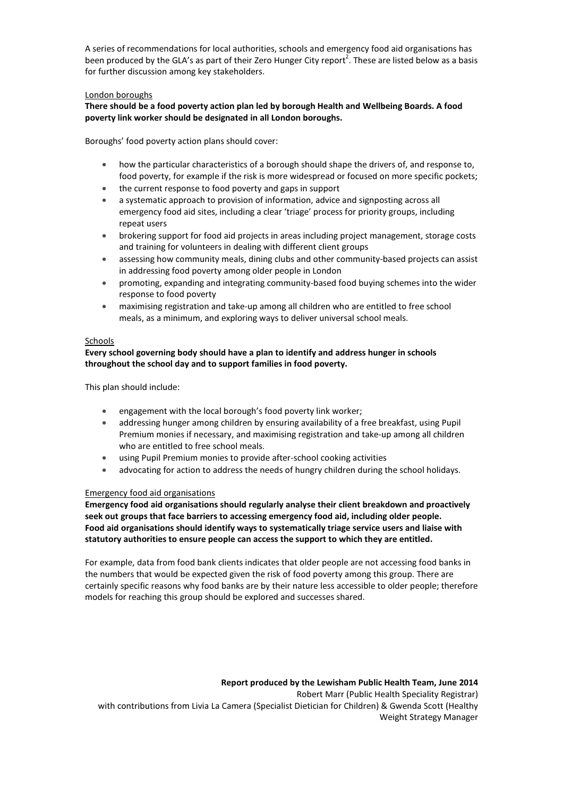A series of recommendations for local authorities, schools and emergency food aid organisations has been produced by the GLA's as part of their Zero Hunger City report<sup>2</sup>. These are listed below as a basis for further discussion among key stakeholders.

### London boroughs

There should be a food poverty action plan led by borough Health and Wellbeing Boards. A food poverty link worker should be designated in all London boroughs.

Boroughs' food poverty action plans should cover:

- how the particular characteristics of a borough should shape the drivers of, and response to, food poverty, for example if the risk is more widespread or focused on more specific pockets;
- the current response to food poverty and gaps in support
- a systematic approach to provision of information, advice and signposting across all emergency food aid sites, including a clear 'triage' process for priority groups, including repeat users
- brokering support for food aid projects in areas including project management, storage costs and training for volunteers in dealing with different client groups
- assessing how community meals, dining clubs and other community-based projects can assist in addressing food poverty among older people in London
- promoting, expanding and integrating community-based food buying schemes into the wider response to food poverty
- maximising registration and take-up among all children who are entitled to free school meals, as a minimum, and exploring ways to deliver universal school meals.

### **Schools**

Every school governing body should have a plan to identify and address hunger in schools throughout the school day and to support families in food poverty.

This plan should include:

- engagement with the local borough's food poverty link worker;
- addressing hunger among children by ensuring availability of a free breakfast, using Pupil Premium monies if necessary, and maximising registration and take-up among all children who are entitled to free school meals.
- using Pupil Premium monies to provide after-school cooking activities
- advocating for action to address the needs of hungry children during the school holidays.

### Emergency food aid organisations

Emergency food aid organisations should regularly analyse their client breakdown and proactively seek out groups that face barriers to accessing emergency food aid, including older people. Food aid organisations should identify ways to systematically triage service users and liaise with statutory authorities to ensure people can access the support to which they are entitled.

For example, data from food bank clients indicates that older people are not accessing food banks in the numbers that would be expected given the risk of food poverty among this group. There are certainly specific reasons why food banks are by their nature less accessible to older people; therefore models for reaching this group should be explored and successes shared.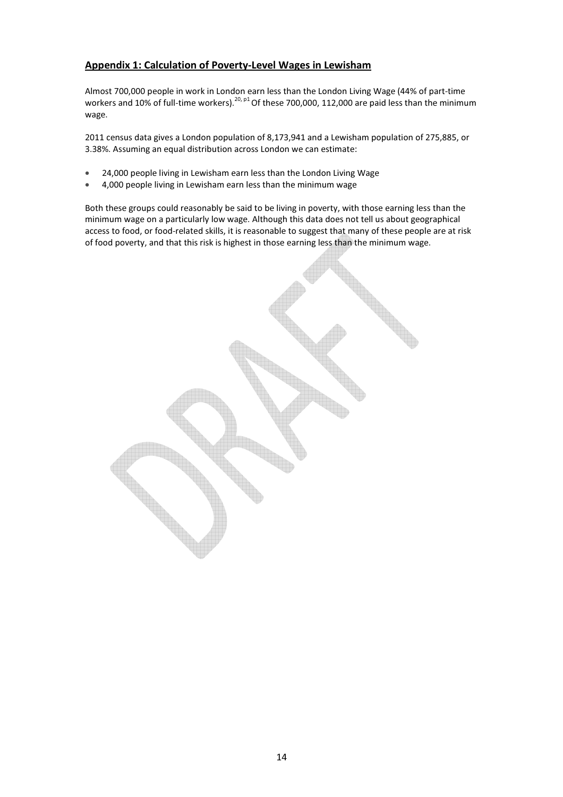# Appendix 1: Calculation of Poverty-Level Wages in Lewisham

Almost 700,000 people in work in London earn less than the London Living Wage (44% of part-time workers and 10% of full-time workers).<sup>20, p1</sup> Of these 700,000, 112,000 are paid less than the minimum wage.

2011 census data gives a London population of 8,173,941 and a Lewisham population of 275,885, or 3.38%. Assuming an equal distribution across London we can estimate:

- 24,000 people living in Lewisham earn less than the London Living Wage
- 4,000 people living in Lewisham earn less than the minimum wage

Both these groups could reasonably be said to be living in poverty, with those earning less than the minimum wage on a particularly low wage. Although this data does not tell us about geographical access to food, or food-related skills, it is reasonable to suggest that many of these people are at risk of food poverty, and that this risk is highest in those earning less than the minimum wage.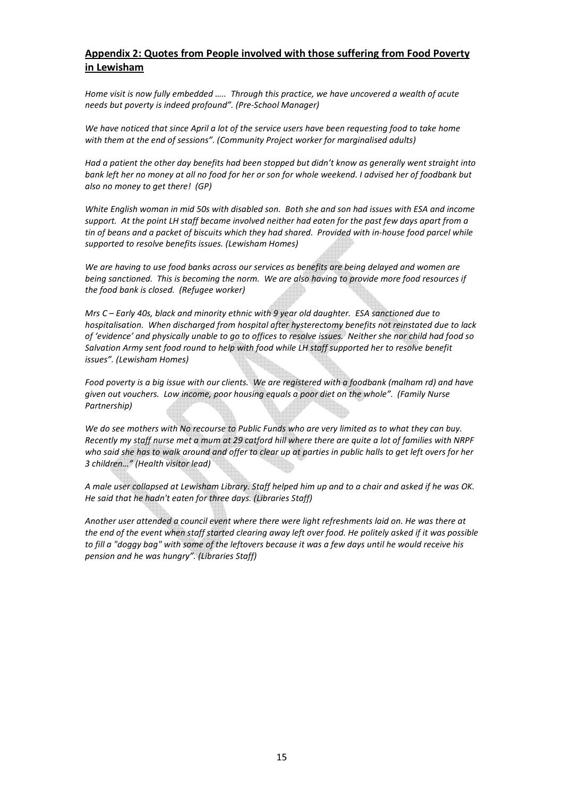# Appendix 2: Quotes from People involved with those suffering from Food Poverty in Lewisham

Home visit is now fully embedded ….. Through this practice, we have uncovered a wealth of acute needs but poverty is indeed profound". (Pre-School Manager)

We have noticed that since April a lot of the service users have been requesting food to take home with them at the end of sessions". (Community Project worker for marginalised adults)

Had a patient the other day benefits had been stopped but didn't know as generally went straight into bank left her no money at all no food for her or son for whole weekend. I advised her of foodbank but also no money to get there! (GP)

White English woman in mid 50s with disabled son. Both she and son had issues with ESA and income support. At the point LH staff became involved neither had eaten for the past few days apart from a tin of beans and a packet of biscuits which they had shared. Provided with in-house food parcel while supported to resolve benefits issues. (Lewisham Homes)

We are having to use food banks across our services as benefits are being delayed and women are being sanctioned. This is becoming the norm. We are also having to provide more food resources if the food bank is closed. (Refugee worker)

Mrs C – Early 40s, black and minority ethnic with 9 year old daughter. ESA sanctioned due to hospitalisation. When discharged from hospital after hysterectomy benefits not reinstated due to lack of 'evidence' and physically unable to go to offices to resolve issues. Neither she nor child had food so Salvation Army sent food round to help with food while LH staff supported her to resolve benefit issues". (Lewisham Homes)

Food poverty is a big issue with our clients. We are registered with a foodbank (malham rd) and have given out vouchers. Low income, poor housing equals a poor diet on the whole". (Family Nurse Partnership)

We do see mothers with No recourse to Public Funds who are very limited as to what they can buy. Recently my staff nurse met a mum at 29 catford hill where there are quite a lot of families with NRPF who said she has to walk around and offer to clear up at parties in public halls to get left overs for her 3 children…" (Health visitor lead)

A male user collapsed at Lewisham Library. Staff helped him up and to a chair and asked if he was OK. He said that he hadn't eaten for three days. (Libraries Staff)

Another user attended a council event where there were light refreshments laid on. He was there at the end of the event when staff started clearing away left over food. He politely asked if it was possible to fill a "doggy bag" with some of the leftovers because it was a few days until he would receive his pension and he was hungry". (Libraries Staff)